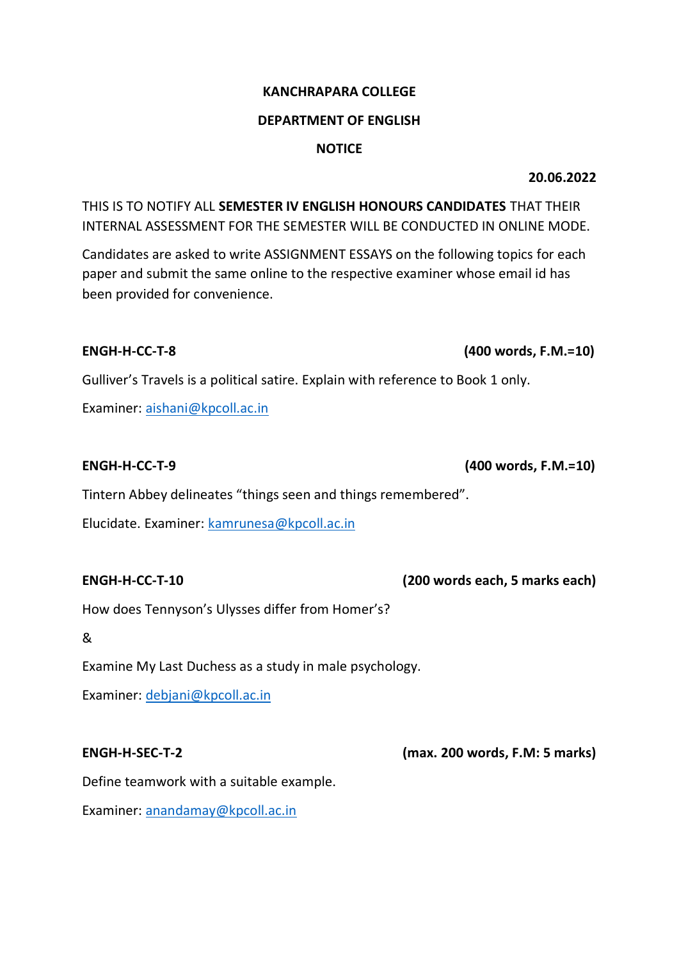# **KANCHRAPARA COLLEGE**

### **DEPARTMENT OF ENGLISH**

### **NOTICE**

**20.06.2022**

THIS IS TO NOTIFY ALL **SEMESTER IV ENGLISH HONOURS CANDIDATES** THAT THEIR INTERNAL ASSESSMENT FOR THE SEMESTER WILL BE CONDUCTED IN ONLINE MODE.

Candidates are asked to write ASSIGNMENT ESSAYS on the following topics for each paper and submit the same online to the respective examiner whose email id has been provided for convenience.

## **ENGH-H-CC-T-8 (400 words, F.M.=10)**

Gulliver's Travels is a political satire. Explain with reference to Book 1 only.

Examiner: [aishani@kpcoll.ac.in](mailto:aishani@kpcoll.ac.in)

**ENGH-H-CC-T-9 (400 words, F.M.=10)** 

Tintern Abbey delineates "things seen and things remembered".

Elucidate. Examiner: [kamrunesa@kpcoll.ac.in](mailto:kamrunesa@kpcoll.ac.in)

**ENGH-H-CC-T-10 (200 words each, 5 marks each)** 

How does Tennyson's Ulysses differ from Homer's?

&

Examine My Last Duchess as a study in male psychology.

Examiner: [debjani@kpcoll.ac.in](mailto:debjani@kpcoll.ac.in)

**ENGH-H-SEC-T-2 (max. 200 words, F.M: 5 marks)** 

Define teamwork with a suitable example.

Examiner: [anandamay@kpcoll.ac.in](mailto:anandamay@kpcoll.ac.in)